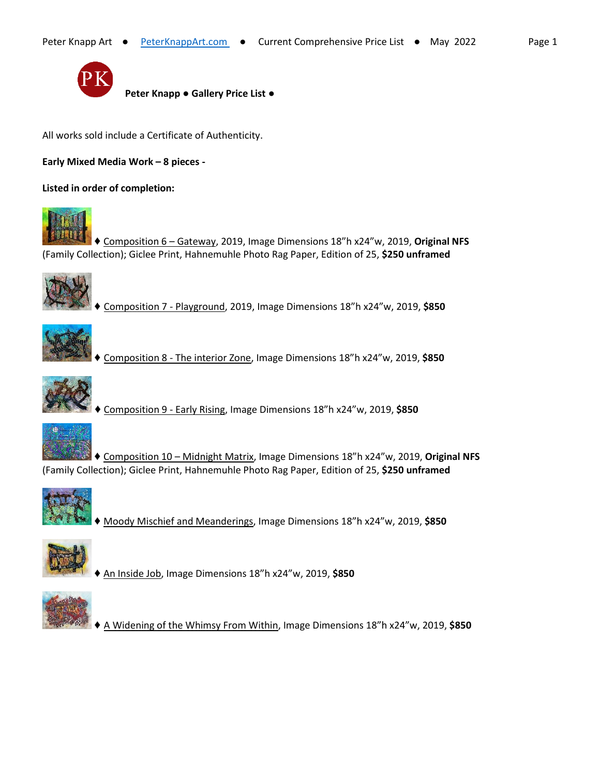

 **Peter Knapp ● Gallery Price List ●**

All works sold include a Certificate of Authenticity.

**Early Mixed Media Work – 8 pieces -**

**Listed in order of completion:**



♦ Composition 6 – Gateway, 2019, Image Dimensions 18"h x24"w, 2019, **Original NFS** (Family Collection); Giclee Print, Hahnemuhle Photo Rag Paper, Edition of 25, **\$250 unframed**



♦ Composition 7 - Playground, 2019, Image Dimensions 18"h x24"w, 2019, **\$850**



♦ Composition 8 - The interior Zone, Image Dimensions 18"h x24"w, 2019, **\$850**



♦ Composition 9 - Early Rising, Image Dimensions 18"h x24"w, 2019, **\$850**



♦ Composition 10 – Midnight Matrix, Image Dimensions 18"h x24"w, 2019, **Original NFS** (Family Collection); Giclee Print, Hahnemuhle Photo Rag Paper, Edition of 25, **\$250 unframed**



♦ Moody Mischief and Meanderings, Image Dimensions 18"h x24"w, 2019, **\$850**



♦ An Inside Job, Image Dimensions 18"h x24"w, 2019, **\$850**



♦ A Widening of the Whimsy From Within, Image Dimensions 18"h x24"w, 2019, **\$850**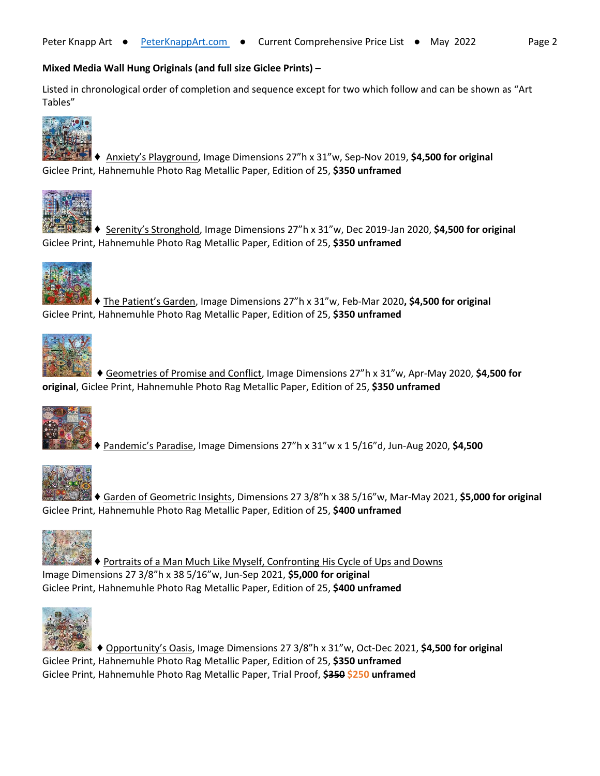## **Mixed Media Wall Hung Originals (and full size Giclee Prints) –**

Listed in chronological order of completion and sequence except for two which follow and can be shown as "Art Tables"



♦ Anxiety's Playground, Image Dimensions 27"h x 31"w, Sep-Nov 2019, **\$4,500 for original** Giclee Print, Hahnemuhle Photo Rag Metallic Paper, Edition of 25, **\$350 unframed**



♦ Serenity's Stronghold, Image Dimensions 27"h x 31"w, Dec 2019-Jan 2020, **\$4,500 for original** Giclee Print, Hahnemuhle Photo Rag Metallic Paper, Edition of 25, **\$350 unframed**



♦ The Patient's Garden, Image Dimensions 27"h x 31"w, Feb-Mar 2020**, \$4,500 for original** Giclee Print, Hahnemuhle Photo Rag Metallic Paper, Edition of 25, **\$350 unframed**



♦ Geometries of Promise and Conflict, Image Dimensions 27"h x 31"w, Apr-May 2020, **\$4,500 for original**, Giclee Print, Hahnemuhle Photo Rag Metallic Paper, Edition of 25, **\$350 unframed**



♦ Pandemic's Paradise, Image Dimensions 27"h x 31"w x 1 5/16"d, Jun-Aug 2020, **\$4,500**



♦ Garden of Geometric Insights, Dimensions 27 3/8"h x 38 5/16"w, Mar-May 2021, **\$5,000 for original** Giclee Print, Hahnemuhle Photo Rag Metallic Paper, Edition of 25, **\$400 unframed**



♦ Portraits of a Man Much Like Myself, Confronting His Cycle of Ups and Downs

Image Dimensions 27 3/8"h x 38 5/16"w, Jun-Sep 2021, **\$5,000 for original** Giclee Print, Hahnemuhle Photo Rag Metallic Paper, Edition of 25, **\$400 unframed**



♦ Opportunity's Oasis, Image Dimensions 27 3/8"h x 31"w, Oct-Dec 2021, **\$4,500 for original** Giclee Print, Hahnemuhle Photo Rag Metallic Paper, Edition of 25, **\$350 unframed** Giclee Print, Hahnemuhle Photo Rag Metallic Paper, Trial Proof, \$350 \$250 unframed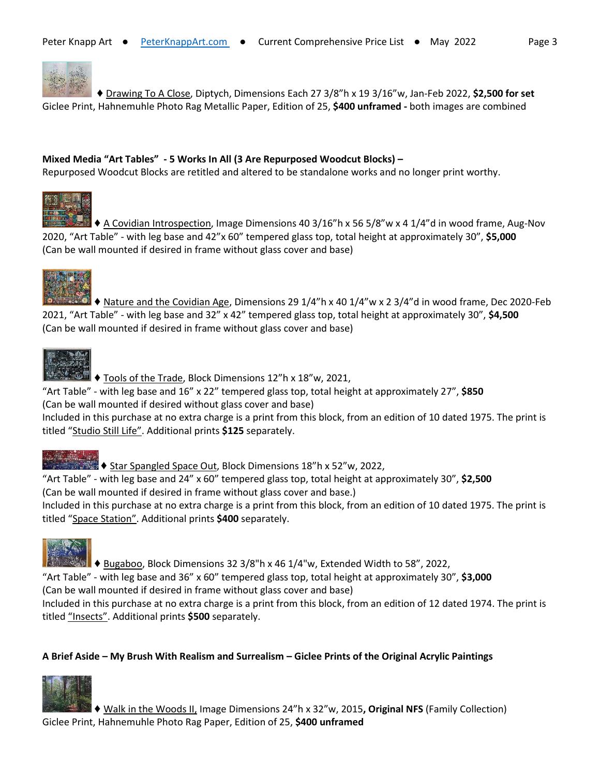

 ♦ Drawing To A Close, Diptych, Dimensions Each 27 3/8"h x 19 3/16"w, Jan-Feb 2022, **\$2,500 for set** Giclee Print, Hahnemuhle Photo Rag Metallic Paper, Edition of 25, **\$400 unframed -** both images are combined

### **Mixed Media "Art Tables" - 5 Works In All (3 Are Repurposed Woodcut Blocks) –**

Repurposed Woodcut Blocks are retitled and altered to be standalone works and no longer print worthy.



**♦ A Covidian Introspection, Image Dimensions 40 3/16"h x 56 5/8"w x 4 1/4"d in wood frame, Aug-Nov** 2020, "Art Table" - with leg base and 42"x 60" tempered glass top, total height at approximately 30", **\$5,000** (Can be wall mounted if desired in frame without glass cover and base)



**I**  $\blacklozenge$  Nature and the Covidian Age, Dimensions 29 1/4"h x 40 1/4"w x 2 3/4"d in wood frame, Dec 2020-Feb 2021, "Art Table" - with leg base and 32" x 42" tempered glass top, total height at approximately 30", **\$4,500** (Can be wall mounted if desired in frame without glass cover and base)



♦ Tools of the Trade, Block Dimensions 12"h x 18"w, 2021,

"Art Table" - with leg base and 16" x 22" tempered glass top, total height at approximately 27", **\$850** (Can be wall mounted if desired without glass cover and base)

Included in this purchase at no extra charge is a print from this block, from an edition of 10 dated 1975. The print is titled "Studio Still Life". Additional prints **\$125** separately.



**♦ Star Spangled Space Out, Block Dimensions 18"h x 52"w, 2022,** 

"Art Table" - with leg base and 24" x 60" tempered glass top, total height at approximately 30", **\$2,500** (Can be wall mounted if desired in frame without glass cover and base.)

Included in this purchase at no extra charge is a print from this block, from an edition of 10 dated 1975. The print is titled "Space Station". Additional prints **\$400** separately.



 $\blacksquare$   $\blacklozenge$  Bugaboo, Block Dimensions 32 3/8"h x 46 1/4"w, Extended Width to 58", 2022,

"Art Table" - with leg base and 36" x 60" tempered glass top, total height at approximately 30", **\$3,000**

(Can be wall mounted if desired in frame without glass cover and base)

Included in this purchase at no extra charge is a print from this block, from an edition of 12 dated 1974. The print is titled "Insects". Additional prints **\$500** separately.

## **A Brief Aside – My Brush With Realism and Surrealism – Giclee Prints of the Original Acrylic Paintings**



♦ Walk in the Woods II, Image Dimensions 24"h x 32"w, 2015**, Original NFS** (Family Collection) Giclee Print, Hahnemuhle Photo Rag Paper, Edition of 25, **\$400 unframed**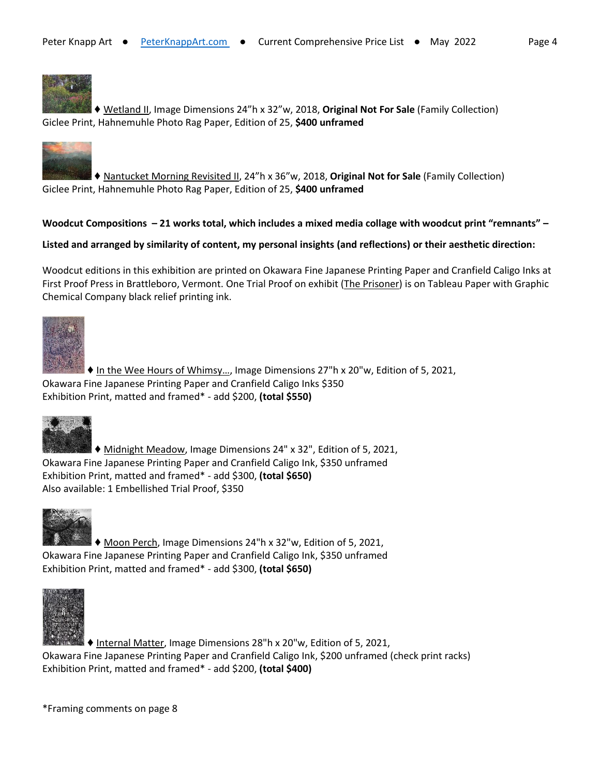

♦ Wetland II, Image Dimensions 24"h x 32"w, 2018, **Original Not For Sale** (Family Collection) Giclee Print, Hahnemuhle Photo Rag Paper, Edition of 25, **\$400 unframed**



♦ Nantucket Morning Revisited II, 24"h x 36"w, 2018, **Original Not for Sale** (Family Collection) Giclee Print, Hahnemuhle Photo Rag Paper, Edition of 25, **\$400 unframed**

### **Woodcut Compositions – 21 works total, which includes a mixed media collage with woodcut print "remnants" –**

#### **Listed and arranged by similarity of content, my personal insights (and reflections) or their aesthetic direction:**

Woodcut editions in this exhibition are printed on Okawara Fine Japanese Printing Paper and Cranfield Caligo Inks at First Proof Press in Brattleboro, Vermont. One Trial Proof on exhibit (The Prisoner) is on Tableau Paper with Graphic Chemical Company black relief printing ink.



♦ In the Wee Hours of Whimsy…, Image Dimensions 27"h x 20"w, Edition of 5, 2021, Okawara Fine Japanese Printing Paper and Cranfield Caligo Inks \$350 Exhibition Print, matted and framed\* - add \$200, **(total \$550)**



♦ Midnight Meadow, Image Dimensions 24" x 32", Edition of 5, 2021, Okawara Fine Japanese Printing Paper and Cranfield Caligo Ink, \$350 unframed Exhibition Print, matted and framed\* - add \$300, **(total \$650)** Also available: 1 Embellished Trial Proof, \$350



♦ Moon Perch, Image Dimensions 24"h x 32"w, Edition of 5, 2021, Okawara Fine Japanese Printing Paper and Cranfield Caligo Ink, \$350 unframed Exhibition Print, matted and framed\* - add \$300, **(total \$650)**



♦ Internal Matter, Image Dimensions 28"h x 20"w, Edition of 5, 2021, Okawara Fine Japanese Printing Paper and Cranfield Caligo Ink, \$200 unframed (check print racks) Exhibition Print, matted and framed\* - add \$200, **(total \$400)**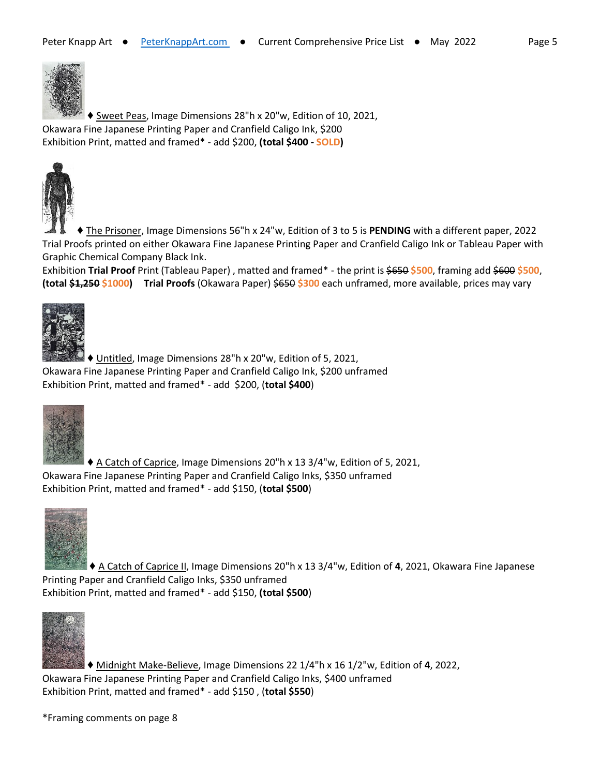

♦ Sweet Peas, Image Dimensions 28"h x 20"w, Edition of 10, 2021, Okawara Fine Japanese Printing Paper and Cranfield Caligo Ink, \$200 Exhibition Print, matted and framed\* - add \$200, **(total \$400 - SOLD)**



♦ The Prisoner, Image Dimensions 56"h x 24"w, Edition of 3 to 5 is **PENDING** with a different paper, 2022 Trial Proofs printed on either Okawara Fine Japanese Printing Paper and Cranfield Caligo Ink or Tableau Paper with Graphic Chemical Company Black Ink.

Exhibition **Trial Proof** Print (Tableau Paper) , matted and framed\* - the print is \$650 **\$500**, framing add \$600 **\$500**, **(total \$1,250 \$1000) Trial Proofs** (Okawara Paper) \$650 **\$300** each unframed, more available, prices may vary



♦ Untitled, Image Dimensions 28"h x 20"w, Edition of 5, 2021, Okawara Fine Japanese Printing Paper and Cranfield Caligo Ink, \$200 unframed Exhibition Print, matted and framed\* - add \$200, (**total \$400**)



♦ A Catch of Caprice, Image Dimensions 20"h x 13 3/4"w, Edition of 5, 2021, Okawara Fine Japanese Printing Paper and Cranfield Caligo Inks, \$350 unframed Exhibition Print, matted and framed\* - add \$150, (**total \$500**)



♦ A Catch of Caprice II, Image Dimensions 20"h x 13 3/4"w, Edition of **4**, 2021, Okawara Fine Japanese Printing Paper and Cranfield Caligo Inks, \$350 unframed Exhibition Print, matted and framed\* - add \$150, **(total \$500**)



♦ Midnight Make-Believe, Image Dimensions 22 1/4"h x 16 1/2"w, Edition of **4**, 2022, Okawara Fine Japanese Printing Paper and Cranfield Caligo Inks, \$400 unframed Exhibition Print, matted and framed\* - add \$150 , (**total \$550**)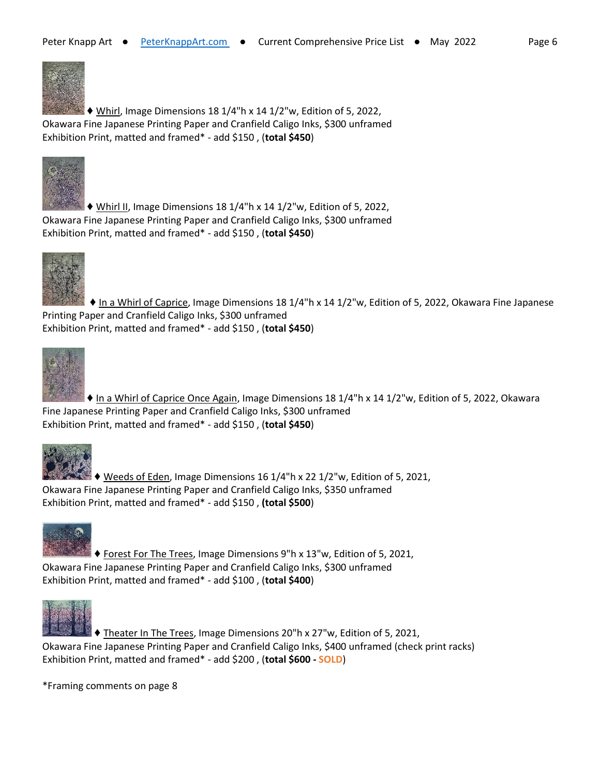

 $\blacktriangleright$  Whirl, Image Dimensions 18 1/4"h x 14 1/2"w, Edition of 5, 2022, Okawara Fine Japanese Printing Paper and Cranfield Caligo Inks, \$300 unframed Exhibition Print, matted and framed\* - add \$150 , (**total \$450**)



 $\blacklozenge$  Whirl II, Image Dimensions 18 1/4"h x 14 1/2"w, Edition of 5, 2022, Okawara Fine Japanese Printing Paper and Cranfield Caligo Inks, \$300 unframed Exhibition Print, matted and framed\* - add \$150 , (**total \$450**)



♦ In a Whirl of Caprice, Image Dimensions 18 1/4"h x 14 1/2"w, Edition of 5, 2022, Okawara Fine Japanese Printing Paper and Cranfield Caligo Inks, \$300 unframed Exhibition Print, matted and framed\* - add \$150 , (**total \$450**)



♦ In a Whirl of Caprice Once Again, Image Dimensions 18 1/4"h x 14 1/2"w, Edition of 5, 2022, Okawara Fine Japanese Printing Paper and Cranfield Caligo Inks, \$300 unframed Exhibition Print, matted and framed\* - add \$150 , (**total \$450**)



 $\blacktriangleright$   $\blacklozenge$  Weeds of Eden, Image Dimensions 16 1/4"h x 22 1/2"w, Edition of 5, 2021, Okawara Fine Japanese Printing Paper and Cranfield Caligo Inks, \$350 unframed Exhibition Print, matted and framed\* - add \$150 , **(total \$500**)



♦ Forest For The Trees, Image Dimensions 9"h x 13"w, Edition of 5, 2021, Okawara Fine Japanese Printing Paper and Cranfield Caligo Inks, \$300 unframed Exhibition Print, matted and framed\* - add \$100 , (**total \$400**)



♦ Theater In The Trees, Image Dimensions 20"h x 27"w, Edition of 5, 2021, Okawara Fine Japanese Printing Paper and Cranfield Caligo Inks, \$400 unframed (check print racks) Exhibition Print, matted and framed\* - add \$200 , (**total \$600 - SOLD**)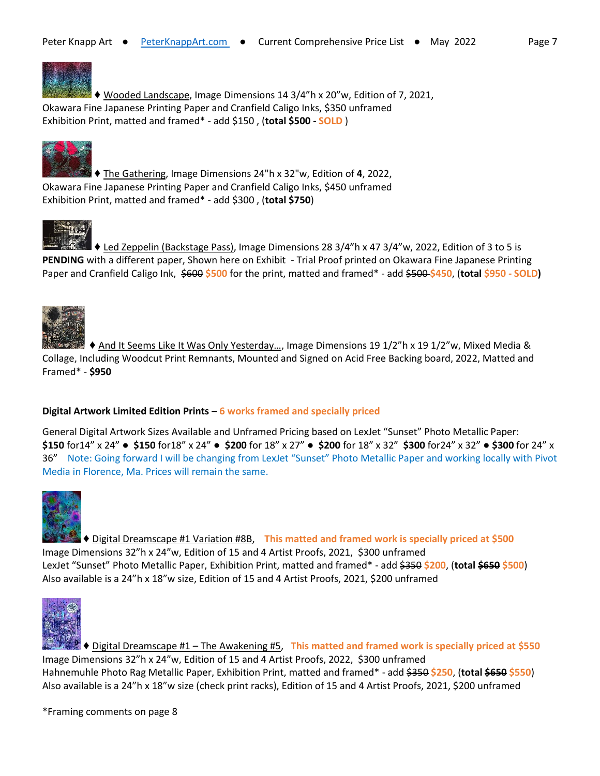

♦ Wooded Landscape, Image Dimensions 14 3/4"h x 20"w, Edition of 7, 2021, Okawara Fine Japanese Printing Paper and Cranfield Caligo Inks, \$350 unframed Exhibition Print, matted and framed\* - add \$150 , (**total \$500 - SOLD** )



♦ The Gathering, Image Dimensions 24"h x 32"w, Edition of **4**, 2022, Okawara Fine Japanese Printing Paper and Cranfield Caligo Inks, \$450 unframed Exhibition Print, matted and framed\* - add \$300 , (**total \$750**)



♦ Led Zeppelin (Backstage Pass), Image Dimensions 28 3/4"h x 47 3/4"w, 2022, Edition of 3 to 5 is **PENDING** with a different paper, Shown here on Exhibit - Trial Proof printed on Okawara Fine Japanese Printing Paper and Cranfield Caligo Ink, \$600 **\$500** for the print, matted and framed\* - add \$500 **\$450**, (**total \$950 - SOLD)** 



♦ And It Seems Like It Was Only Yesterday…, Image Dimensions 19 1/2"h x 19 1/2"w, Mixed Media & Collage, Including Woodcut Print Remnants, Mounted and Signed on Acid Free Backing board, 2022, Matted and Framed\* - **\$950**

### **Digital Artwork Limited Edition Prints – 6 works framed and specially priced**

General Digital Artwork Sizes Available and Unframed Pricing based on LexJet "Sunset" Photo Metallic Paper: **\$150** for14" x 24" **● \$150** for18" x 24" **● \$200** for 18" x 27" **● \$200** for 18" x 32" **\$300** for24" x 32" **● \$300** for 24" x 36" Note: Going forward I will be changing from LexJet "Sunset" Photo Metallic Paper and working locally with Pivot Media in Florence, Ma. Prices will remain the same.



♦ Digital Dreamscape #1 Variation #8B, **This matted and framed work is specially priced at \$500** Image Dimensions 32"h x 24"w, Edition of 15 and 4 Artist Proofs, 2021, \$300 unframed LexJet "Sunset" Photo Metallic Paper, Exhibition Print, matted and framed\* - add \$350 **\$200**, (**total \$650 \$500**) Also available is a 24"h x 18"w size, Edition of 15 and 4 Artist Proofs, 2021, \$200 unframed



♦ Digital Dreamscape #1 – The Awakening #5, **This matted and framed work is specially priced at \$550** Image Dimensions 32"h x 24"w, Edition of 15 and 4 Artist Proofs, 2022, \$300 unframed Hahnemuhle Photo Rag Metallic Paper, Exhibition Print, matted and framed\* - add \$350 **\$250**, (**total \$650 \$550**) Also available is a 24"h x 18"w size (check print racks), Edition of 15 and 4 Artist Proofs, 2021, \$200 unframed